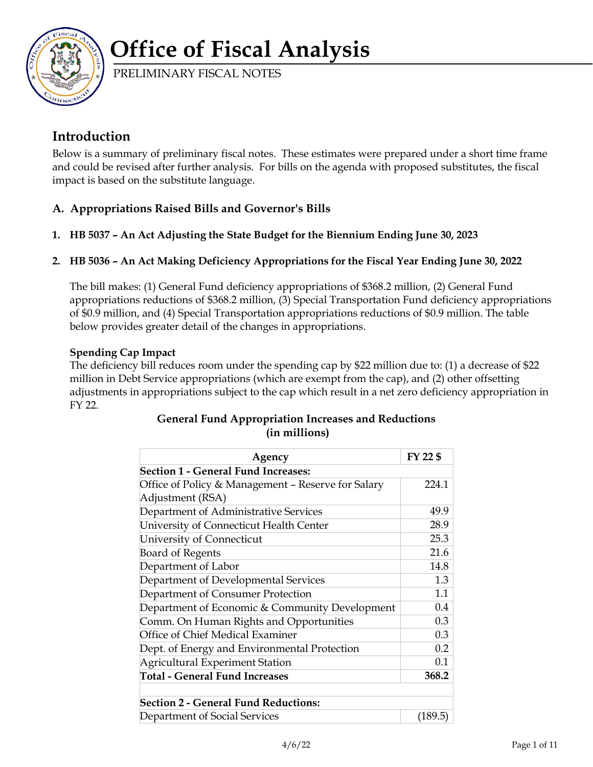

PRELIMINARY FISCAL NOTES

### **Introduction**

Below is a summary of preliminary fiscal notes. These estimates were prepared under a short time frame and could be revised after further analysis. For bills on the agenda with proposed substitutes, the fiscal impact is based on the substitute language.

#### **A. Appropriations Raised Bills and Governor's Bills**

- **1. HB 5037 – An Act Adjusting the State Budget for the Biennium Ending June 30, 2023**
- **2. HB 5036 – An Act Making Deficiency Appropriations for the Fiscal Year Ending June 30, 2022**

The bill makes: (1) General Fund deficiency appropriations of \$368.2 million, (2) General Fund appropriations reductions of \$368.2 million, (3) Special Transportation Fund deficiency appropriations of \$0.9 million, and (4) Special Transportation appropriations reductions of \$0.9 million. The table below provides greater detail of the changes in appropriations.

#### **Spending Cap Impact**

The deficiency bill reduces room under the spending cap by \$22 million due to: (1) a decrease of \$22 million in Debt Service appropriations (which are exempt from the cap), and (2) other offsetting adjustments in appropriations subject to the cap which result in a net zero deficiency appropriation in FY 22.

| Agency                                             | FY 22 \$ |  |  |  |
|----------------------------------------------------|----------|--|--|--|
| <b>Section 1 - General Fund Increases:</b>         |          |  |  |  |
| Office of Policy & Management - Reserve for Salary | 224.1    |  |  |  |
| Adjustment (RSA)                                   |          |  |  |  |
| Department of Administrative Services              | 49.9     |  |  |  |
| University of Connecticut Health Center            | 28.9     |  |  |  |
| University of Connecticut                          | 25.3     |  |  |  |
| <b>Board of Regents</b>                            | 21.6     |  |  |  |
| Department of Labor                                | 14.8     |  |  |  |
| Department of Developmental Services               | 1.3      |  |  |  |
| Department of Consumer Protection                  | 1.1      |  |  |  |
| Department of Economic & Community Development     | 0.4      |  |  |  |
| Comm. On Human Rights and Opportunities            | 0.3      |  |  |  |
| Office of Chief Medical Examiner                   | 0.3      |  |  |  |
| Dept. of Energy and Environmental Protection       | 0.2      |  |  |  |
| Agricultural Experiment Station                    | 0.1      |  |  |  |
| <b>Total - General Fund Increases</b>              | 368.2    |  |  |  |
|                                                    |          |  |  |  |
| Section 2 - General Fund Reductions:               |          |  |  |  |
| Department of Social Services                      | (189.5)  |  |  |  |

#### **General Fund Appropriation Increases and Reductions (in millions)**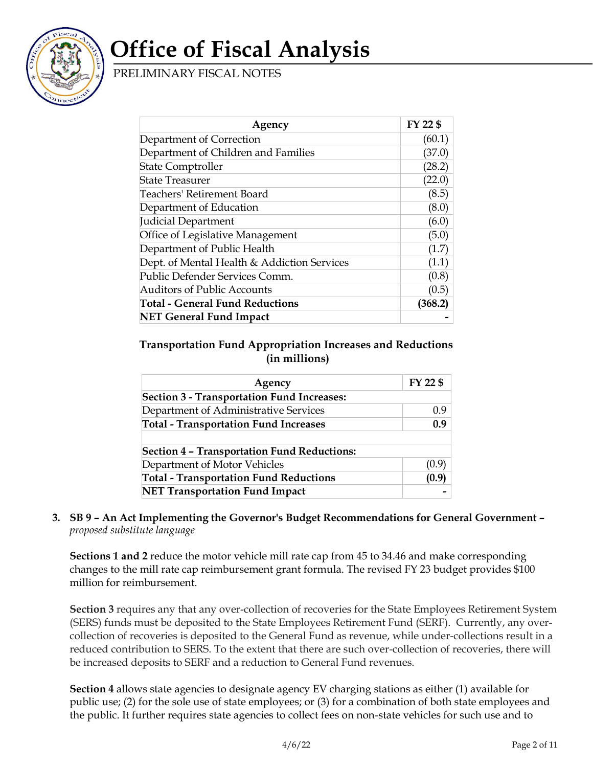

PRELIMINARY FISCAL NOTES

| Agency                                      | FY 22 \$ |
|---------------------------------------------|----------|
| Department of Correction                    | (60.1)   |
| Department of Children and Families         | (37.0)   |
| <b>State Comptroller</b>                    | (28.2)   |
| <b>State Treasurer</b>                      | (22.0)   |
| Teachers' Retirement Board                  | (8.5)    |
| Department of Education                     | (8.0)    |
| Judicial Department                         | (6.0)    |
| Office of Legislative Management            | (5.0)    |
| Department of Public Health                 | (1.7)    |
| Dept. of Mental Health & Addiction Services | (1.1)    |
| Public Defender Services Comm.              | (0.8)    |
| <b>Auditors of Public Accounts</b>          | (0.5)    |
| <b>Total - General Fund Reductions</b>      | (368.2)  |
| <b>NET General Fund Impact</b>              |          |

#### **Transportation Fund Appropriation Increases and Reductions (in millions)**

| Agency                                             | FY 22 \$ |  |  |  |
|----------------------------------------------------|----------|--|--|--|
| <b>Section 3 - Transportation Fund Increases:</b>  |          |  |  |  |
| Department of Administrative Services              | 0.9      |  |  |  |
| <b>Total - Transportation Fund Increases</b>       | 0.9      |  |  |  |
| <b>Section 4 - Transportation Fund Reductions:</b> |          |  |  |  |
| Department of Motor Vehicles                       | (0.9)    |  |  |  |
| <b>Total - Transportation Fund Reductions</b>      | (0.9)    |  |  |  |
| <b>NET Transportation Fund Impact</b>              |          |  |  |  |

**3. SB 9 – An Act Implementing the Governor's Budget Recommendations for General Government –** *proposed substitute language*

**Sections 1 and 2** reduce the motor vehicle mill rate cap from 45 to 34.46 and make corresponding changes to the mill rate cap reimbursement grant formula. The revised FY 23 budget provides \$100 million for reimbursement.

**Section 3** requires any that any over-collection of recoveries for the State Employees Retirement System (SERS) funds must be deposited to the State Employees Retirement Fund (SERF). Currently, any overcollection of recoveries is deposited to the General Fund as revenue, while under-collections result in a reduced contribution to SERS. To the extent that there are such over-collection of recoveries, there will be increased deposits to SERF and a reduction to General Fund revenues.

**Section 4** allows state agencies to designate agency EV charging stations as either (1) available for public use; (2) for the sole use of state employees; or (3) for a combination of both state employees and the public. It further requires state agencies to collect fees on non-state vehicles for such use and to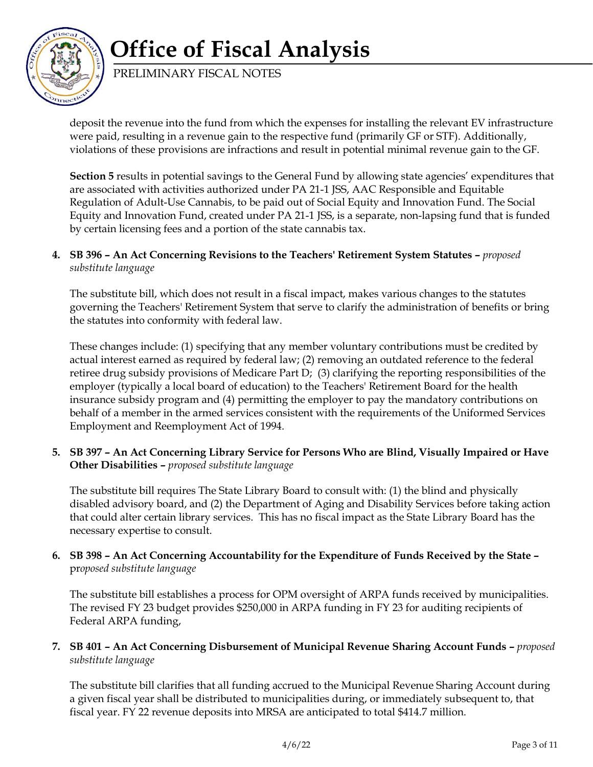



PRELIMINARY FISCAL NOTES

deposit the revenue into the fund from which the expenses for installing the relevant EV infrastructure were paid, resulting in a revenue gain to the respective fund (primarily GF or STF). Additionally, violations of these provisions are infractions and result in potential minimal revenue gain to the GF.

**Section 5** results in potential savings to the General Fund by allowing state agencies' expenditures that are associated with activities authorized under PA 21-1 JSS, AAC Responsible and Equitable Regulation of Adult-Use Cannabis, to be paid out of Social Equity and Innovation Fund. The Social Equity and Innovation Fund, created under PA 21-1 JSS, is a separate, non-lapsing fund that is funded by certain licensing fees and a portion of the state cannabis tax.

**4. SB 396 – An Act Concerning Revisions to the Teachers' Retirement System Statutes –** *proposed substitute language*

The substitute bill, which does not result in a fiscal impact, makes various changes to the statutes governing the Teachers' Retirement System that serve to clarify the administration of benefits or bring the statutes into conformity with federal law.

These changes include: (1) specifying that any member voluntary contributions must be credited by actual interest earned as required by federal law; (2) removing an outdated reference to the federal retiree drug subsidy provisions of Medicare Part D; (3) clarifying the reporting responsibilities of the employer (typically a local board of education) to the Teachers' Retirement Board for the health insurance subsidy program and (4) permitting the employer to pay the mandatory contributions on behalf of a member in the armed services consistent with the requirements of the Uniformed Services Employment and Reemployment Act of 1994.

**5. SB 397 – An Act Concerning Library Service for Persons Who are Blind, Visually Impaired or Have Other Disabilities –** *proposed substitute language*

The substitute bill requires The State Library Board to consult with: (1) the blind and physically disabled advisory board, and (2) the Department of Aging and Disability Services before taking action that could alter certain library services. This has no fiscal impact as the State Library Board has the necessary expertise to consult.

**6. SB 398 – An Act Concerning Accountability for the Expenditure of Funds Received by the State –** pr*oposed substitute language*

The substitute bill establishes a process for OPM oversight of ARPA funds received by municipalities. The revised FY 23 budget provides \$250,000 in ARPA funding in FY 23 for auditing recipients of Federal ARPA funding,

**7. SB 401 – An Act Concerning Disbursement of Municipal Revenue Sharing Account Funds –** *proposed substitute language*

The substitute bill clarifies that all funding accrued to the Municipal Revenue Sharing Account during a given fiscal year shall be distributed to municipalities during, or immediately subsequent to, that fiscal year. FY 22 revenue deposits into MRSA are anticipated to total \$414.7 million.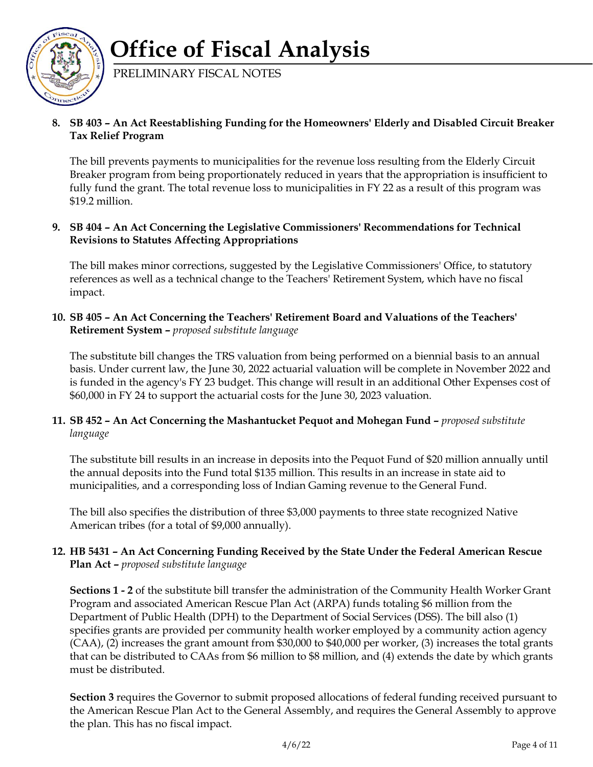

PRELIMINARY FISCAL NOTES

#### **8. SB 403 – An Act Reestablishing Funding for the Homeowners' Elderly and Disabled Circuit Breaker Tax Relief Program**

The bill prevents payments to municipalities for the revenue loss resulting from the Elderly Circuit Breaker program from being proportionately reduced in years that the appropriation is insufficient to fully fund the grant. The total revenue loss to municipalities in FY 22 as a result of this program was \$19.2 million.

#### **9. SB 404 – An Act Concerning the Legislative Commissioners' Recommendations for Technical Revisions to Statutes Affecting Appropriations**

The bill makes minor corrections, suggested by the Legislative Commissioners' Office, to statutory references as well as a technical change to the Teachers' Retirement System, which have no fiscal impact.

#### **10. SB 405 – An Act Concerning the Teachers' Retirement Board and Valuations of the Teachers' Retirement System –** *proposed substitute language*

The substitute bill changes the TRS valuation from being performed on a biennial basis to an annual basis. Under current law, the June 30, 2022 actuarial valuation will be complete in November 2022 and is funded in the agency's FY 23 budget. This change will result in an additional Other Expenses cost of \$60,000 in FY 24 to support the actuarial costs for the June 30, 2023 valuation.

#### **11. SB 452 – An Act Concerning the Mashantucket Pequot and Mohegan Fund –** *proposed substitute language*

The substitute bill results in an increase in deposits into the Pequot Fund of \$20 million annually until the annual deposits into the Fund total \$135 million. This results in an increase in state aid to municipalities, and a corresponding loss of Indian Gaming revenue to the General Fund.

The bill also specifies the distribution of three \$3,000 payments to three state recognized Native American tribes (for a total of \$9,000 annually).

#### **12. HB 5431 – An Act Concerning Funding Received by the State Under the Federal American Rescue Plan Act –** *proposed substitute language*

**Sections 1 - 2** of the substitute bill transfer the administration of the Community Health Worker Grant Program and associated American Rescue Plan Act (ARPA) funds totaling \$6 million from the Department of Public Health (DPH) to the Department of Social Services (DSS). The bill also (1) specifies grants are provided per community health worker employed by a community action agency (CAA), (2) increases the grant amount from \$30,000 to \$40,000 per worker, (3) increases the total grants that can be distributed to CAAs from \$6 million to \$8 million, and (4) extends the date by which grants must be distributed.

**Section 3** requires the Governor to submit proposed allocations of federal funding received pursuant to the American Rescue Plan Act to the General Assembly, and requires the General Assembly to approve the plan. This has no fiscal impact.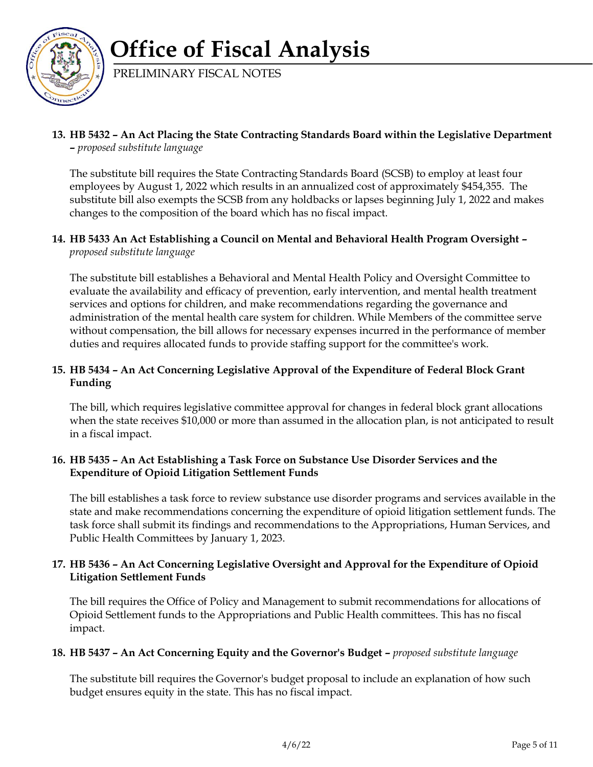

PRELIMINARY FISCAL NOTES

#### **13. HB 5432 – An Act Placing the State Contracting Standards Board within the Legislative Department –** *proposed substitute language*

The substitute bill requires the State Contracting Standards Board (SCSB) to employ at least four employees by August 1, 2022 which results in an annualized cost of approximately \$454,355. The substitute bill also exempts the SCSB from any holdbacks or lapses beginning July 1, 2022 and makes changes to the composition of the board which has no fiscal impact.

#### **14. HB 5433 An Act Establishing a Council on Mental and Behavioral Health Program Oversight –** *proposed substitute language*

The substitute bill establishes a Behavioral and Mental Health Policy and Oversight Committee to evaluate the availability and efficacy of prevention, early intervention, and mental health treatment services and options for children, and make recommendations regarding the governance and administration of the mental health care system for children. While Members of the committee serve without compensation, the bill allows for necessary expenses incurred in the performance of member duties and requires allocated funds to provide staffing support for the committee's work.

#### **15. HB 5434 – An Act Concerning Legislative Approval of the Expenditure of Federal Block Grant Funding**

The bill, which requires legislative committee approval for changes in federal block grant allocations when the state receives \$10,000 or more than assumed in the allocation plan, is not anticipated to result in a fiscal impact.

#### **16. HB 5435 – An Act Establishing a Task Force on Substance Use Disorder Services and the Expenditure of Opioid Litigation Settlement Funds**

The bill establishes a task force to review substance use disorder programs and services available in the state and make recommendations concerning the expenditure of opioid litigation settlement funds. The task force shall submit its findings and recommendations to the Appropriations, Human Services, and Public Health Committees by January 1, 2023.

#### **17. HB 5436 – An Act Concerning Legislative Oversight and Approval for the Expenditure of Opioid Litigation Settlement Funds**

The bill requires the Office of Policy and Management to submit recommendations for allocations of Opioid Settlement funds to the Appropriations and Public Health committees. This has no fiscal impact.

#### **18. HB 5437 – An Act Concerning Equity and the Governor's Budget –** *proposed substitute language*

The substitute bill requires the Governor's budget proposal to include an explanation of how such budget ensures equity in the state. This has no fiscal impact.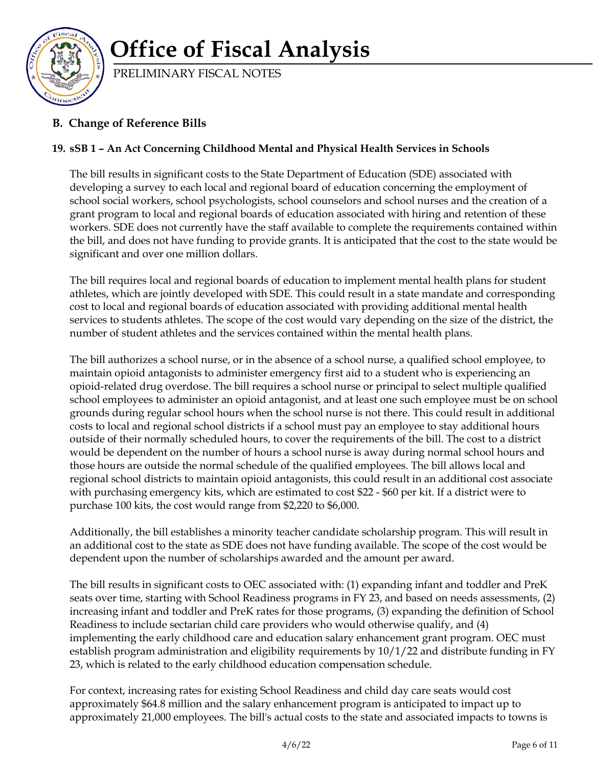

PRELIMINARY FISCAL NOTES

### **B. Change of Reference Bills**

#### **19. sSB 1 – An Act Concerning Childhood Mental and Physical Health Services in Schools**

The bill results in significant costs to the State Department of Education (SDE) associated with developing a survey to each local and regional board of education concerning the employment of school social workers, school psychologists, school counselors and school nurses and the creation of a grant program to local and regional boards of education associated with hiring and retention of these workers. SDE does not currently have the staff available to complete the requirements contained within the bill, and does not have funding to provide grants. It is anticipated that the cost to the state would be significant and over one million dollars.

The bill requires local and regional boards of education to implement mental health plans for student athletes, which are jointly developed with SDE. This could result in a state mandate and corresponding cost to local and regional boards of education associated with providing additional mental health services to students athletes. The scope of the cost would vary depending on the size of the district, the number of student athletes and the services contained within the mental health plans.

The bill authorizes a school nurse, or in the absence of a school nurse, a qualified school employee, to maintain opioid antagonists to administer emergency first aid to a student who is experiencing an opioid-related drug overdose. The bill requires a school nurse or principal to select multiple qualified school employees to administer an opioid antagonist, and at least one such employee must be on school grounds during regular school hours when the school nurse is not there. This could result in additional costs to local and regional school districts if a school must pay an employee to stay additional hours outside of their normally scheduled hours, to cover the requirements of the bill. The cost to a district would be dependent on the number of hours a school nurse is away during normal school hours and those hours are outside the normal schedule of the qualified employees. The bill allows local and regional school districts to maintain opioid antagonists, this could result in an additional cost associate with purchasing emergency kits, which are estimated to cost \$22 - \$60 per kit. If a district were to purchase 100 kits, the cost would range from \$2,220 to \$6,000.

Additionally, the bill establishes a minority teacher candidate scholarship program. This will result in an additional cost to the state as SDE does not have funding available. The scope of the cost would be dependent upon the number of scholarships awarded and the amount per award.

The bill results in significant costs to OEC associated with: (1) expanding infant and toddler and PreK seats over time, starting with School Readiness programs in FY 23, and based on needs assessments, (2) increasing infant and toddler and PreK rates for those programs, (3) expanding the definition of School Readiness to include sectarian child care providers who would otherwise qualify, and (4) implementing the early childhood care and education salary enhancement grant program. OEC must establish program administration and eligibility requirements by 10/1/22 and distribute funding in FY 23, which is related to the early childhood education compensation schedule.

For context, increasing rates for existing School Readiness and child day care seats would cost approximately \$64.8 million and the salary enhancement program is anticipated to impact up to approximately 21,000 employees. The bill's actual costs to the state and associated impacts to towns is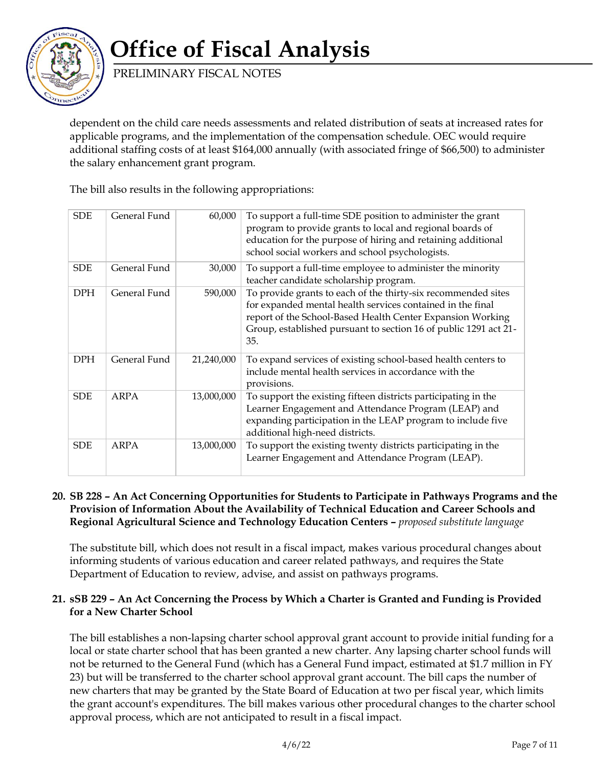

PRELIMINARY FISCAL NOTES

dependent on the child care needs assessments and related distribution of seats at increased rates for applicable programs, and the implementation of the compensation schedule. OEC would require additional staffing costs of at least \$164,000 annually (with associated fringe of \$66,500) to administer the salary enhancement grant program.

The bill also results in the following appropriations:

| <b>SDE</b> | General Fund | 60,000     | To support a full-time SDE position to administer the grant<br>program to provide grants to local and regional boards of<br>education for the purpose of hiring and retaining additional<br>school social workers and school psychologists.                          |
|------------|--------------|------------|----------------------------------------------------------------------------------------------------------------------------------------------------------------------------------------------------------------------------------------------------------------------|
| <b>SDE</b> | General Fund | 30,000     | To support a full-time employee to administer the minority<br>teacher candidate scholarship program.                                                                                                                                                                 |
| <b>DPH</b> | General Fund | 590,000    | To provide grants to each of the thirty-six recommended sites<br>for expanded mental health services contained in the final<br>report of the School-Based Health Center Expansion Working<br>Group, established pursuant to section 16 of public 1291 act 21-<br>35. |
| <b>DPH</b> | General Fund | 21,240,000 | To expand services of existing school-based health centers to<br>include mental health services in accordance with the<br>provisions.                                                                                                                                |
| <b>SDE</b> | ARPA         | 13,000,000 | To support the existing fifteen districts participating in the<br>Learner Engagement and Attendance Program (LEAP) and<br>expanding participation in the LEAP program to include five<br>additional high-need districts.                                             |
| <b>SDE</b> | ARPA         | 13,000,000 | To support the existing twenty districts participating in the<br>Learner Engagement and Attendance Program (LEAP).                                                                                                                                                   |

#### **20. SB 228 – An Act Concerning Opportunities for Students to Participate in Pathways Programs and the Provision of Information About the Availability of Technical Education and Career Schools and Regional Agricultural Science and Technology Education Centers –** *proposed substitute language*

The substitute bill, which does not result in a fiscal impact, makes various procedural changes about informing students of various education and career related pathways, and requires the State Department of Education to review, advise, and assist on pathways programs.

#### **21. sSB 229 – An Act Concerning the Process by Which a Charter is Granted and Funding is Provided for a New Charter School**

The bill establishes a non-lapsing charter school approval grant account to provide initial funding for a local or state charter school that has been granted a new charter. Any lapsing charter school funds will not be returned to the General Fund (which has a General Fund impact, estimated at \$1.7 million in FY 23) but will be transferred to the charter school approval grant account. The bill caps the number of new charters that may be granted by the State Board of Education at two per fiscal year, which limits the grant account's expenditures. The bill makes various other procedural changes to the charter school approval process, which are not anticipated to result in a fiscal impact.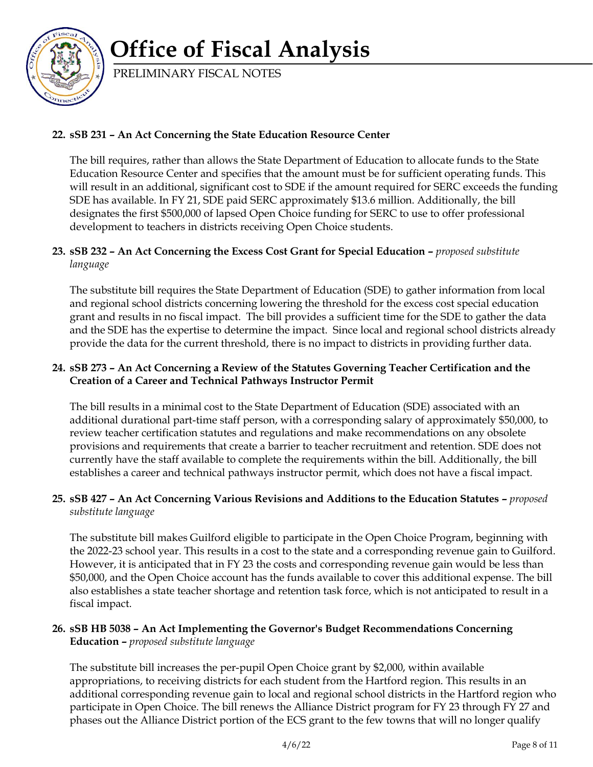

PRELIMINARY FISCAL NOTES

#### **22. sSB 231 – An Act Concerning the State Education Resource Center**

The bill requires, rather than allows the State Department of Education to allocate funds to the State Education Resource Center and specifies that the amount must be for sufficient operating funds. This will result in an additional, significant cost to SDE if the amount required for SERC exceeds the funding SDE has available. In FY 21, SDE paid SERC approximately \$13.6 million. Additionally, the bill designates the first \$500,000 of lapsed Open Choice funding for SERC to use to offer professional development to teachers in districts receiving Open Choice students.

#### **23. sSB 232 – An Act Concerning the Excess Cost Grant for Special Education –** *proposed substitute language*

The substitute bill requires the State Department of Education (SDE) to gather information from local and regional school districts concerning lowering the threshold for the excess cost special education grant and results in no fiscal impact. The bill provides a sufficient time for the SDE to gather the data and the SDE has the expertise to determine the impact. Since local and regional school districts already provide the data for the current threshold, there is no impact to districts in providing further data.

#### **24. sSB 273 – An Act Concerning a Review of the Statutes Governing Teacher Certification and the Creation of a Career and Technical Pathways Instructor Permit**

The bill results in a minimal cost to the State Department of Education (SDE) associated with an additional durational part-time staff person, with a corresponding salary of approximately \$50,000, to review teacher certification statutes and regulations and make recommendations on any obsolete provisions and requirements that create a barrier to teacher recruitment and retention. SDE does not currently have the staff available to complete the requirements within the bill. Additionally, the bill establishes a career and technical pathways instructor permit, which does not have a fiscal impact.

#### **25. sSB 427 – An Act Concerning Various Revisions and Additions to the Education Statutes –** *proposed substitute language*

The substitute bill makes Guilford eligible to participate in the Open Choice Program, beginning with the 2022-23 school year. This results in a cost to the state and a corresponding revenue gain to Guilford. However, it is anticipated that in FY 23 the costs and corresponding revenue gain would be less than \$50,000, and the Open Choice account has the funds available to cover this additional expense. The bill also establishes a state teacher shortage and retention task force, which is not anticipated to result in a fiscal impact.

#### **26. sSB HB 5038 – An Act Implementing the Governor's Budget Recommendations Concerning Education –** *proposed substitute language*

The substitute bill increases the per-pupil Open Choice grant by \$2,000, within available appropriations, to receiving districts for each student from the Hartford region. This results in an additional corresponding revenue gain to local and regional school districts in the Hartford region who participate in Open Choice. The bill renews the Alliance District program for FY 23 through FY 27 and phases out the Alliance District portion of the ECS grant to the few towns that will no longer qualify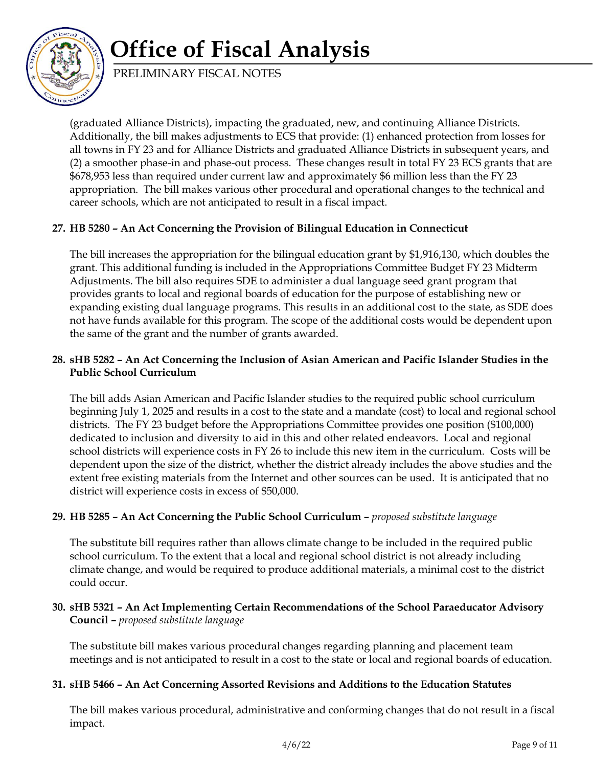

PRELIMINARY FISCAL NOTES

(graduated Alliance Districts), impacting the graduated, new, and continuing Alliance Districts. Additionally, the bill makes adjustments to ECS that provide: (1) enhanced protection from losses for all towns in FY 23 and for Alliance Districts and graduated Alliance Districts in subsequent years, and (2) a smoother phase-in and phase-out process. These changes result in total FY 23 ECS grants that are \$678,953 less than required under current law and approximately \$6 million less than the FY 23 appropriation. The bill makes various other procedural and operational changes to the technical and career schools, which are not anticipated to result in a fiscal impact.

#### **27. HB 5280 – An Act Concerning the Provision of Bilingual Education in Connecticut**

The bill increases the appropriation for the bilingual education grant by \$1,916,130, which doubles the grant. This additional funding is included in the Appropriations Committee Budget FY 23 Midterm Adjustments. The bill also requires SDE to administer a dual language seed grant program that provides grants to local and regional boards of education for the purpose of establishing new or expanding existing dual language programs. This results in an additional cost to the state, as SDE does not have funds available for this program. The scope of the additional costs would be dependent upon the same of the grant and the number of grants awarded.

#### **28. sHB 5282 – An Act Concerning the Inclusion of Asian American and Pacific Islander Studies in the Public School Curriculum**

The bill adds Asian American and Pacific Islander studies to the required public school curriculum beginning July 1, 2025 and results in a cost to the state and a mandate (cost) to local and regional school districts. The FY 23 budget before the Appropriations Committee provides one position (\$100,000) dedicated to inclusion and diversity to aid in this and other related endeavors. Local and regional school districts will experience costs in FY 26 to include this new item in the curriculum. Costs will be dependent upon the size of the district, whether the district already includes the above studies and the extent free existing materials from the Internet and other sources can be used. It is anticipated that no district will experience costs in excess of \$50,000.

#### **29. HB 5285 – An Act Concerning the Public School Curriculum –** *proposed substitute language*

The substitute bill requires rather than allows climate change to be included in the required public school curriculum. To the extent that a local and regional school district is not already including climate change, and would be required to produce additional materials, a minimal cost to the district could occur.

#### **30. sHB 5321 – An Act Implementing Certain Recommendations of the School Paraeducator Advisory Council –** *proposed substitute language*

The substitute bill makes various procedural changes regarding planning and placement team meetings and is not anticipated to result in a cost to the state or local and regional boards of education.

#### **31. sHB 5466 – An Act Concerning Assorted Revisions and Additions to the Education Statutes**

The bill makes various procedural, administrative and conforming changes that do not result in a fiscal impact.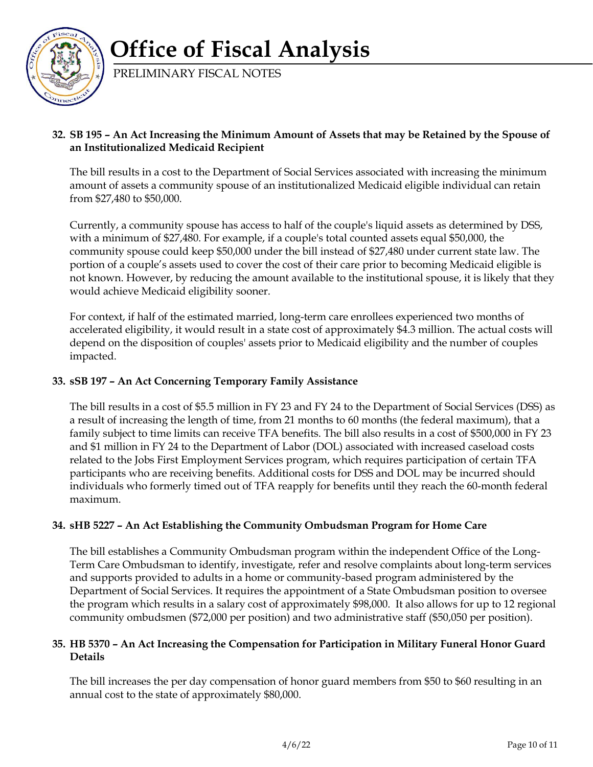

PRELIMINARY FISCAL NOTES

#### **32. SB 195 – An Act Increasing the Minimum Amount of Assets that may be Retained by the Spouse of an Institutionalized Medicaid Recipient**

The bill results in a cost to the Department of Social Services associated with increasing the minimum amount of assets a community spouse of an institutionalized Medicaid eligible individual can retain from \$27,480 to \$50,000.

Currently, a community spouse has access to half of the couple's liquid assets as determined by DSS, with a minimum of \$27,480. For example, if a couple's total counted assets equal \$50,000, the community spouse could keep \$50,000 under the bill instead of \$27,480 under current state law. The portion of a couple's assets used to cover the cost of their care prior to becoming Medicaid eligible is not known. However, by reducing the amount available to the institutional spouse, it is likely that they would achieve Medicaid eligibility sooner.

For context, if half of the estimated married, long-term care enrollees experienced two months of accelerated eligibility, it would result in a state cost of approximately \$4.3 million. The actual costs will depend on the disposition of couples' assets prior to Medicaid eligibility and the number of couples impacted.

#### **33. sSB 197 – An Act Concerning Temporary Family Assistance**

The bill results in a cost of \$5.5 million in FY 23 and FY 24 to the Department of Social Services (DSS) as a result of increasing the length of time, from 21 months to 60 months (the federal maximum), that a family subject to time limits can receive TFA benefits. The bill also results in a cost of \$500,000 in FY 23 and \$1 million in FY 24 to the Department of Labor (DOL) associated with increased caseload costs related to the Jobs First Employment Services program, which requires participation of certain TFA participants who are receiving benefits. Additional costs for DSS and DOL may be incurred should individuals who formerly timed out of TFA reapply for benefits until they reach the 60-month federal maximum.

#### **34. sHB 5227 – An Act Establishing the Community Ombudsman Program for Home Care**

The bill establishes a Community Ombudsman program within the independent Office of the Long-Term Care Ombudsman to identify, investigate, refer and resolve complaints about long-term services and supports provided to adults in a home or community-based program administered by the Department of Social Services. It requires the appointment of a State Ombudsman position to oversee the program which results in a salary cost of approximately \$98,000. It also allows for up to 12 regional community ombudsmen (\$72,000 per position) and two administrative staff (\$50,050 per position).

#### **35. HB 5370 – An Act Increasing the Compensation for Participation in Military Funeral Honor Guard Details**

The bill increases the per day compensation of honor guard members from \$50 to \$60 resulting in an annual cost to the state of approximately \$80,000.